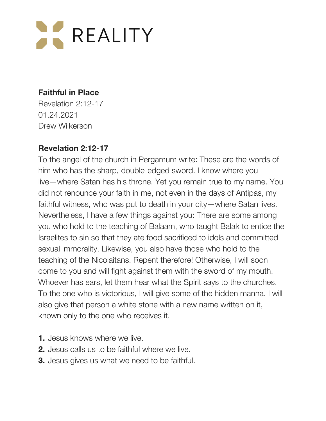

#### **Faithful in Place**

Revelation 2:12-17 01.24.2021 Drew Wilkerson

#### **Revelation 2:12-17**

To the angel of the church in Pergamum write: These are the words of him who has the sharp, double-edged sword. I know where you live—where Satan has his throne. Yet you remain true to my name. You did not renounce your faith in me, not even in the days of Antipas, my faithful witness, who was put to death in your city—where Satan lives. Nevertheless, I have a few things against you: There are some among you who hold to the teaching of Balaam, who taught Balak to entice the Israelites to sin so that they ate food sacrificed to idols and committed sexual immorality. Likewise, you also have those who hold to the teaching of the Nicolaitans. Repent therefore! Otherwise, I will soon come to you and will fight against them with the sword of my mouth. Whoever has ears, let them hear what the Spirit says to the churches. To the one who is victorious, I will give some of the hidden manna. I will also give that person a white stone with a new name written on it, known only to the one who receives it.

- **1.** Jesus knows where we live.
- **2.** Jesus calls us to be faithful where we live.
- **3.** Jesus gives us what we need to be faithful.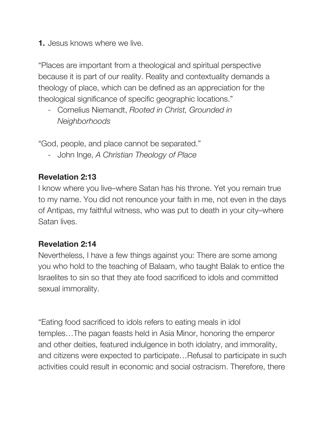**1.** Jesus knows where we live.

"Places are important from a theological and spiritual perspective because it is part of our reality. Reality and contextuality demands a theology of place, which can be defined as an appreciation for the theological significance of specific geographic locations."

- Cornelius Niemandt, *Rooted in Christ, Grounded in Neighborhoods*

"God, people, and place cannot be separated."

- John Inge, *A Christian Theology of Place*

## **Revelation 2:13**

I know where you live–where Satan has his throne. Yet you remain true to my name. You did not renounce your faith in me, not even in the days of Antipas, my faithful witness, who was put to death in your city–where Satan lives.

### **Revelation 2:14**

Nevertheless, I have a few things against you: There are some among you who hold to the teaching of Balaam, who taught Balak to entice the Israelites to sin so that they ate food sacrificed to idols and committed sexual immorality.

"Eating food sacrificed to idols refers to eating meals in idol temples…The pagan feasts held in Asia Minor, honoring the emperor and other deities, featured indulgence in both idolatry, and immorality, and citizens were expected to participate…Refusal to participate in such activities could result in economic and social ostracism. Therefore, there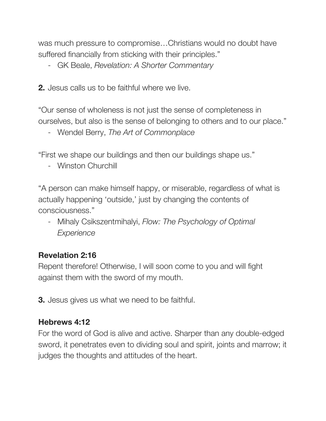was much pressure to compromise…Christians would no doubt have suffered financially from sticking with their principles."

- GK Beale, *Revelation: A Shorter Commentary*

**2.** Jesus calls us to be faithful where we live.

"Our sense of wholeness is not just the sense of completeness in ourselves, but also is the sense of belonging to others and to our place."

- Wendel Berry, *The Art of Commonplace*

"First we shape our buildings and then our buildings shape us."

- Winston Churchill

"A person can make himself happy, or miserable, regardless of what is actually happening 'outside,' just by changing the contents of consciousness."

- Mihaly Csikszentmihalyi, *Flow: The Psychology of Optimal Experience*

# **Revelation 2:16**

Repent therefore! Otherwise, I will soon come to you and will fight against them with the sword of my mouth.

**3.** Jesus gives us what we need to be faithful.

### **Hebrews 4:12**

For the word of God is alive and active. Sharper than any double-edged sword, it penetrates even to dividing soul and spirit, joints and marrow; it judges the thoughts and attitudes of the heart.